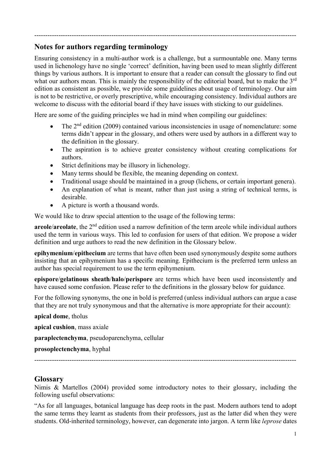## Notes for authors regarding terminology

Ensuring consistency in a multi-author work is a challenge, but a surmountable one. Many terms used in lichenology have no single 'correct' definition, having been used to mean slightly different things by various authors. It is important to ensure that a reader can consult the glossary to find out what our authors mean. This is mainly the responsibility of the editorial board, but to make the 3<sup>rd</sup> edition as consistent as possible, we provide some guidelines about usage of terminology. Our aim is not to be restrictive, or overly prescriptive, while encouraging consistency. Individual authors are welcome to discuss with the editorial board if they have issues with sticking to our guidelines.

-----------------------------------------------------------------------------------------------------------------------

Here are some of the guiding principles we had in mind when compiling our guidelines:

- The  $2<sup>nd</sup>$  edition (2009) contained various inconsistencies in usage of nomenclature: some terms didn't appear in the glossary, and others were used by authors in a different way to the definition in the glossary.
- The aspiration is to achieve greater consistency without creating complications for authors.
- Strict definitions may be illusory in lichenology.
- Many terms should be flexible, the meaning depending on context.
- Traditional usage should be maintained in a group (lichens, or certain important genera).
- An explanation of what is meant, rather than just using a string of technical terms, is desirable.
- A picture is worth a thousand words.

We would like to draw special attention to the usage of the following terms:

areole/areolate, the 2<sup>nd</sup> edition used a narrow definition of the term areole while individual authors used the term in various ways. This led to confusion for users of that edition. We propose a wider definition and urge authors to read the new definition in the Glossary below.

epihymenium/epithecium are terms that have often been used synonymously despite some authors insisting that an epihymenium has a specific meaning. Epithecium is the preferred term unless an author has special requirement to use the term epihymenium.

epispore/gelatinous sheath/halo/perispore are terms which have been used inconsistently and have caused some confusion. Please refer to the definitions in the glossary below for guidance.

For the following synonyms, the one in bold is preferred (unless individual authors can argue a case that they are not truly synonymous and that the alternative is more appropriate for their account):

apical dome, tholus

apical cushion, mass axiale

paraplectenchyma, pseudoparenchyma, cellular

prosoplectenchyma, hyphal

## **Glossary**

Nimis & Martellos (2004) provided some introductory notes to their glossary, including the following useful observations:

-----------------------------------------------------------------------------------------------------------------------

"As for all languages, botanical language has deep roots in the past. Modern authors tend to adopt the same terms they learnt as students from their professors, just as the latter did when they were students. Old-inherited terminology, however, can degenerate into jargon. A term like leprose dates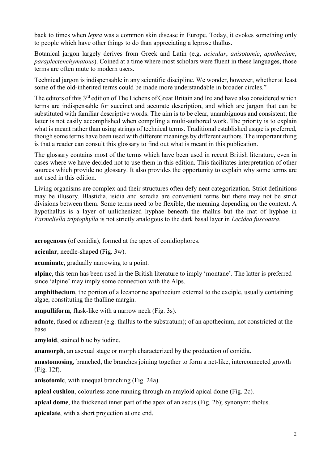back to times when lepra was a common skin disease in Europe. Today, it evokes something only to people which have other things to do than appreciating a leprose thallus.

Botanical jargon largely derives from Greek and Latin (e.g. *acicular*, *anisotomic*, *apothecium*, paraplectenchymatous). Coined at a time where most scholars were fluent in these languages, those terms are often mute to modern users.

Technical jargon is indispensable in any scientific discipline. We wonder, however, whether at least some of the old-inherited terms could be made more understandable in broader circles."

The editors of this 3<sup>rd</sup> edition of The Lichens of Great Britain and Ireland have also considered which terms are indispensable for succinct and accurate description, and which are jargon that can be substituted with familiar descriptive words. The aim is to be clear, unambiguous and consistent; the latter is not easily accomplished when compiling a multi-authored work. The priority is to explain what is meant rather than using strings of technical terms. Traditional established usage is preferred, though some terms have been used with different meanings by different authors. The important thing is that a reader can consult this glossary to find out what is meant in this publication.

The glossary contains most of the terms which have been used in recent British literature, even in cases where we have decided not to use them in this edition. This facilitates interpretation of other sources which provide no glossary. It also provides the opportunity to explain why some terms are not used in this edition.

Living organisms are complex and their structures often defy neat categorization. Strict definitions may be illusory. Blastidia, isidia and soredia are convenient terms but there may not be strict divisions between them. Some terms need to be flexible, the meaning depending on the context. A hypothallus is a layer of unlichenized hyphae beneath the thallus but the mat of hyphae in Parmeliella triptophylla is not strictly analogous to the dark basal layer in Lecidea fuscoatra.

acrogenous (of conidia), formed at the apex of conidiophores.

acicular, needle-shaped (Fig. 3w).

acuminate, gradually narrowing to a point.

alpine, this term has been used in the British literature to imply 'montane'. The latter is preferred since 'alpine' may imply some connection with the Alps.

amphithecium, the portion of a lecanorine apothecium external to the exciple, usually containing algae, constituting the thalline margin.

ampulliform, flask-like with a narrow neck (Fig. 3s).

adnate, fused or adherent (e.g. thallus to the substratum); of an apothecium, not constricted at the base.

amyloid, stained blue by iodine.

anamorph, an asexual stage or morph characterized by the production of conidia.

anastomosing, branched, the branches joining together to form a net-like, interconnected growth (Fig. 12f).

anisotomic, with unequal branching (Fig. 24a).

apical cushion, colourless zone running through an amyloid apical dome (Fig. 2c).

apical dome, the thickened inner part of the apex of an ascus (Fig. 2b); synonym: tholus.

apiculate, with a short projection at one end.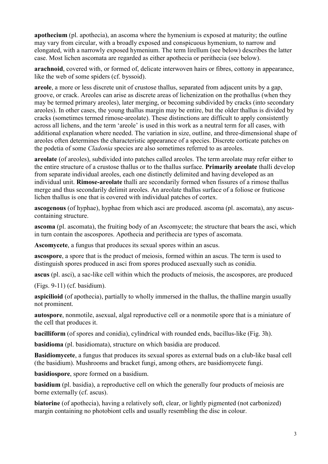apothecium (pl. apothecia), an ascoma where the hymenium is exposed at maturity; the outline may vary from circular, with a broadly exposed and conspicuous hymenium, to narrow and elongated, with a narrowly exposed hymenium. The term lirellum (see below) describes the latter case. Most lichen ascomata are regarded as either apothecia or perithecia (see below).

arachnoid, covered with, or formed of, delicate interwoven hairs or fibres, cottony in appearance, like the web of some spiders (cf. byssoid).

areole, a more or less discrete unit of crustose thallus, separated from adjacent units by a gap, groove, or crack. Areoles can arise as discrete areas of lichenization on the prothallus (when they may be termed primary areoles), later merging, or becoming subdivided by cracks (into secondary areoles). In other cases, the young thallus margin may be entire, but the older thallus is divided by cracks (sometimes termed rimose-areolate). These distinctions are difficult to apply consistently across all lichens, and the term 'areole' is used in this work as a neutral term for all cases, with additional explanation where needed. The variation in size, outline, and three-dimensional shape of areoles often determines the characteristic appearance of a species. Discrete corticate patches on the podetia of some Cladonia species are also sometimes referred to as areoles.

areolate (of areoles), subdivided into patches called areoles. The term areolate may refer either to the entire structure of a crustose thallus or to the thallus surface. Primarily areolate thalli develop from separate individual areoles, each one distinctly delimited and having developed as an individual unit. Rimose-areolate thalli are secondarily formed when fissures of a rimose thallus merge and thus secondarily delimit areoles. An areolate thallus surface of a foliose or fruticose lichen thallus is one that is covered with individual patches of cortex.

ascogenous (of hyphae), hyphae from which asci are produced. ascoma (pl. ascomata), any ascuscontaining structure.

ascoma (pl. ascomata), the fruiting body of an Ascomycete; the structure that bears the asci, which in turn contain the ascospores. Apothecia and perithecia are types of ascomata.

Ascomycete, a fungus that produces its sexual spores within an ascus.

ascospore, a spore that is the product of meiosis, formed within an ascus. The term is used to distinguish spores produced in asci from spores produced asexually such as conidia.

ascus (pl. asci), a sac-like cell within which the products of meiosis, the ascospores, are produced

(Figs. 9-11) (cf. basidium).

aspicilioid (of apothecia), partially to wholly immersed in the thallus, the thalline margin usually not prominent.

autospore, nonmotile, asexual, algal reproductive cell or a nonmotile spore that is a miniature of the cell that produces it.

bacilliform (of spores and conidia), cylindrical with rounded ends, bacillus-like (Fig. 3h).

basidioma (pl. basidiomata), structure on which basidia are produced.

Basidiomycete, a fungus that produces its sexual spores as external buds on a club-like basal cell (the basidium). Mushrooms and bracket fungi, among others, are basidiomycete fungi.

basidiospore, spore formed on a basidium.

basidium (pl. basidia), a reproductive cell on which the generally four products of meiosis are borne externally (cf. ascus).

biatorine (of apothecia), having a relatively soft, clear, or lightly pigmented (not carbonized) margin containing no photobiont cells and usually resembling the disc in colour.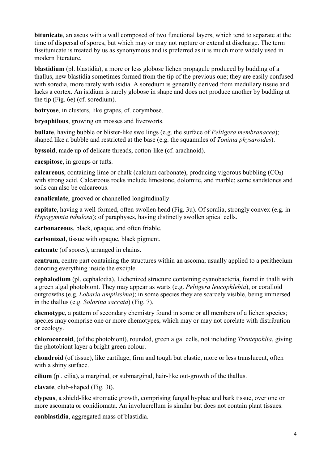bitunicate, an ascus with a wall composed of two functional layers, which tend to separate at the time of dispersal of spores, but which may or may not rupture or extend at discharge. The term fissitunicate is treated by us as synonymous and is preferred as it is much more widely used in modern literature.

blastidium (pl. blastidia), a more or less globose lichen propagule produced by budding of a thallus, new blastidia sometimes formed from the tip of the previous one; they are easily confused with soredia, more rarely with isidia. A soredium is generally derived from medullary tissue and lacks a cortex. An isidium is rarely globose in shape and does not produce another by budding at the tip (Fig. 6e) (cf. soredium).

botryose, in clusters, like grapes, cf. corymbose.

bryophilous, growing on mosses and liverworts.

bullate, having bubble or blister-like swellings (e.g. the surface of *Peltigera membranacea*); shaped like a bubble and restricted at the base (e.g. the squamules of *Toninia physaroides*).

byssoid, made up of delicate threads, cotton-like (cf. arachnoid).

caespitose, in groups or tufts.

calcareous, containing lime or chalk (calcium carbonate), producing vigorous bubbling  $(CO<sub>2</sub>)$ with strong acid. Calcareous rocks include limestone, dolomite, and marble; some sandstones and soils can also be calcareous.

canaliculate, grooved or channelled longitudinally.

capitate, having a well-formed, often swollen head (Fig. 3u). Of soralia, strongly convex (e.g. in Hypogymnia tubulosa); of paraphyses, having distinctly swollen apical cells.

carbonaceous, black, opaque, and often friable.

carbonized, tissue with opaque, black pigment.

catenate (of spores), arranged in chains.

centrum, centre part containing the structures within an ascoma; usually applied to a perithecium denoting everything inside the exciple.

cephalodium (pl. cephalodia), Lichenized structure containing cyanobacteria, found in thalli with a green algal photobiont. They may appear as warts (e.g. Peltigera leucophlebia), or coralloid outgrowths (e.g. Lobaria amplissima); in some species they are scarcely visible, being immersed in the thallus (e.g. Solorina saccata) (Fig. 7).

chemotype, a pattern of secondary chemistry found in some or all members of a lichen species; species may comprise one or more chemotypes, which may or may not corelate with distribution or ecology.

chlorococcoid, (of the photobiont), rounded, green algal cells, not including Trentepohlia, giving the photobiont layer a bright green colour.

chondroid (of tissue), like cartilage, firm and tough but elastic, more or less translucent, often with a shiny surface.

cilium (pl. cilia), a marginal, or submarginal, hair-like out-growth of the thallus.

clavate, club-shaped (Fig. 3t).

clypeus, a shield-like stromatic growth, comprising fungal hyphae and bark tissue, over one or more ascomata or conidiomata. An involucrellum is similar but does not contain plant tissues.

conblastidia, aggregated mass of blastidia.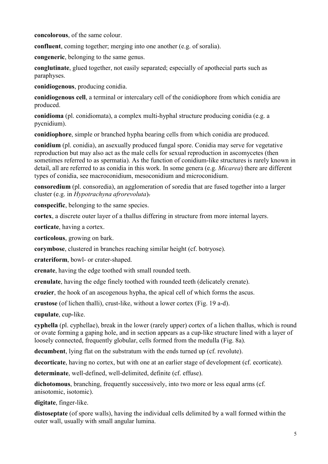concolorous, of the same colour.

confluent, coming together; merging into one another (e.g. of soralia).

congeneric, belonging to the same genus.

conglutinate, glued together, not easily separated; especially of apothecial parts such as paraphyses.

conidiogenous, producing conidia.

conidiogenous cell, a terminal or intercalary cell of the conidiophore from which conidia are produced.

conidioma (pl. conidiomata), a complex multi-hyphal structure producing conidia (e.g. a pycnidium).

conidiophore, simple or branched hypha bearing cells from which conidia are produced.

conidium (pl. conidia), an asexually produced fungal spore. Conidia may serve for vegetative reproduction but may also act as the male cells for sexual reproduction in ascomycetes (then sometimes referred to as spermatia). As the function of conidium-like structures is rarely known in detail, all are referred to as conidia in this work. In some genera (e.g. *Micarea*) there are different types of conidia, see macroconidium, mesoconidium and microconidium.

consoredium (pl. consoredia), an agglomeration of soredia that are fused together into a larger cluster (e.g. in Hypotrachyna afrorevoluta).

conspecific, belonging to the same species.

cortex, a discrete outer layer of a thallus differing in structure from more internal layers.

corticate, having a cortex.

corticolous, growing on bark.

corymbose, clustered in branches reaching similar height (cf. botryose).

crateriform, bowl- or crater-shaped.

crenate, having the edge toothed with small rounded teeth.

crenulate, having the edge finely toothed with rounded teeth (delicately crenate).

crozier, the hook of an ascogenous hypha, the apical cell of which forms the ascus.

crustose (of lichen thalli), crust-like, without a lower cortex (Fig. 19 a-d).

cupulate, cup-like.

cyphella (pl. cyphellae), break in the lower (rarely upper) cortex of a lichen thallus, which is round or ovate forming a gaping hole, and in section appears as a cup-like structure lined with a layer of loosely connected, frequently globular, cells formed from the medulla (Fig. 8a).

decumbent, lying flat on the substratum with the ends turned up (cf. revolute).

decorticate, having no cortex, but with one at an earlier stage of development (cf. ecorticate).

determinate, well-defined, well-delimited, definite (cf. effuse).

dichotomous, branching, frequently successively, into two more or less equal arms (cf. anisotomic, isotomic).

digitate, finger-like.

distoseptate (of spore walls), having the individual cells delimited by a wall formed within the outer wall, usually with small angular lumina.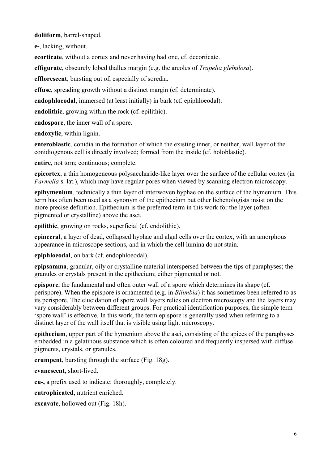doliiform, barrel-shaped.

e-, lacking, without.

ecorticate, without a cortex and never having had one, cf. decorticate.

effigurate, obscurely lobed thallus margin (e.g. the areoles of Trapelia glebulosa).

efflorescent, bursting out of, especially of soredia.

effuse, spreading growth without a distinct margin (cf. determinate).

endophloeodal, immersed (at least initially) in bark (cf. epiphloeodal).

endolithic, growing within the rock (cf. epilithic).

endospore, the inner wall of a spore.

endoxylic, within lignin.

enteroblastic, conidia in the formation of which the existing inner, or neither, wall layer of the conidiogenous cell is directly involved; formed from the inside (cf. holoblastic).

entire, not torn; continuous; complete.

epicortex, a thin homogeneous polysaccharide-like layer over the surface of the cellular cortex (in Parmelia s. lat.), which may have regular pores when viewed by scanning electron microscopy.

epihymenium, technically a thin layer of interwoven hyphae on the surface of the hymenium. This term has often been used as a synonym of the epithecium but other lichenologists insist on the more precise definition. Epithecium is the preferred term in this work for the layer (often pigmented or crystalline) above the asci.

epilithic, growing on rocks, superficial (cf. endolithic).

epinecral, a layer of dead, collapsed hyphae and algal cells over the cortex, with an amorphous appearance in microscope sections, and in which the cell lumina do not stain.

epiphloeodal, on bark (cf. endophloeodal).

epipsamma, granular, oily or crystalline material interspersed between the tips of paraphyses; the granules or crystals present in the epithecium; either pigmented or not.

epispore, the fundamental and often outer wall of a spore which determines its shape (cf. perispore). When the epispore is ornamented (e.g. in Bilimbia) it has sometimes been referred to as its perispore. The elucidation of spore wall layers relies on electron microscopy and the layers may vary considerably between different groups. For practical identification purposes, the simple term 'spore wall' is effective. In this work, the term epispore is generally used when referring to a distinct layer of the wall itself that is visible using light microscopy.

epithecium, upper part of the hymenium above the asci, consisting of the apices of the paraphyses embedded in a gelatinous substance which is often coloured and frequently inspersed with diffuse pigments, crystals, or granules.

erumpent, bursting through the surface (Fig. 18g).

evanescent, short-lived.

eu-, a prefix used to indicate: thoroughly, completely.

eutrophicated, nutrient enriched.

excavate, hollowed out (Fig. 18h).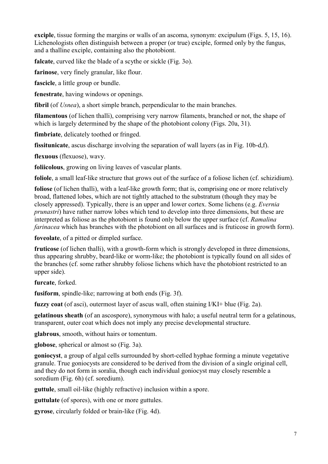exciple, tissue forming the margins or walls of an ascoma, synonym: excipulum (Figs. 5, 15, 16). Lichenologists often distinguish between a proper (or true) exciple, formed only by the fungus, and a thalline exciple, containing also the photobiont.

falcate, curved like the blade of a scythe or sickle (Fig. 3o).

farinose, very finely granular, like flour.

fascicle, a little group or bundle.

fenestrate, having windows or openings.

fibril (of *Usnea*), a short simple branch, perpendicular to the main branches.

filamentous (of lichen thalli), comprising very narrow filaments, branched or not, the shape of which is largely determined by the shape of the photobiont colony (Figs. 20a, 31).

fimbriate, delicately toothed or fringed.

fissitunicate, ascus discharge involving the separation of wall layers (as in Fig. 10b-d,f).

flexuous (flexuose), wavy.

foliicolous, growing on living leaves of vascular plants.

foliole, a small leaf-like structure that grows out of the surface of a foliose lichen (cf. schizidium).

foliose (of lichen thalli), with a leaf-like growth form; that is, comprising one or more relatively broad, flattened lobes, which are not tightly attached to the substratum (though they may be closely appressed). Typically, there is an upper and lower cortex. Some lichens (e.g. Evernia prunastri) have rather narrow lobes which tend to develop into three dimensions, but these are interpreted as foliose as the photobiont is found only below the upper surface (cf. Ramalina farinacea which has branches with the photobiont on all surfaces and is fruticose in growth form).

foveolate, of a pitted or dimpled surface.

fruticose (of lichen thalli), with a growth-form which is strongly developed in three dimensions, thus appearing shrubby, beard-like or worm-like; the photobiont is typically found on all sides of the branches (cf. some rather shrubby foliose lichens which have the photobiont restricted to an upper side).

furcate, forked.

fusiform, spindle-like; narrowing at both ends (Fig. 3f).

fuzzy coat (of asci), outermost layer of ascus wall, often staining I/KI+ blue (Fig. 2a).

gelatinous sheath (of an ascospore), synonymous with halo; a useful neutral term for a gelatinous, transparent, outer coat which does not imply any precise developmental structure.

glabrous, smooth, without hairs or tomentum.

globose, spherical or almost so (Fig. 3a).

goniocyst, a group of algal cells surrounded by short-celled hyphae forming a minute vegetative granule. True goniocysts are considered to be derived from the division of a single original cell, and they do not form in soralia, though each individual goniocyst may closely resemble a soredium (Fig. 6h) (cf. soredium).

guttule, small oil-like (highly refractive) inclusion within a spore.

guttulate (of spores), with one or more guttules.

gyrose, circularly folded or brain-like (Fig. 4d).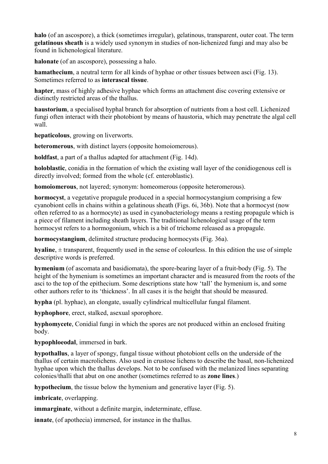halo (of an ascospore), a thick (sometimes irregular), gelatinous, transparent, outer coat. The term gelatinous sheath is a widely used synonym in studies of non-lichenized fungi and may also be found in lichenological literature.

halonate (of an ascospore), possessing a halo.

hamathecium, a neutral term for all kinds of hyphae or other tissues between asci (Fig. 13). Sometimes referred to as interascal tissue.

hapter, mass of highly adhesive hyphae which forms an attachment disc covering extensive or distinctly restricted areas of the thallus.

haustorium, a specialised hyphal branch for absorption of nutrients from a host cell. Lichenized fungi often interact with their photobiont by means of haustoria, which may penetrate the algal cell wall.

hepaticolous, growing on liverworts.

heteromerous, with distinct layers (opposite homoiomerous).

holdfast, a part of a thallus adapted for attachment (Fig. 14d).

holoblastic, conidia in the formation of which the existing wall layer of the conidiogenous cell is directly involved; formed from the whole (cf. enteroblastic).

homoiomerous, not layered; synonym: homeomerous (opposite heteromerous).

hormocyst, a vegetative propagule produced in a special hormocystangium comprising a few cyanobiont cells in chains within a gelatinous sheath (Figs. 6i, 36b). Note that a hormocyst (now often referred to as a hormocyte) as used in cyanobacteriology means a resting propagule which is a piece of filament including sheath layers. The traditional lichenological usage of the term hormocyst refers to a hormogonium, which is a bit of trichome released as a propagule.

hormocystangium, delimited structure producing hormocysts (Fig. 36a).

hyaline,  $\pm$  transparent, frequently used in the sense of colourless. In this edition the use of simple descriptive words is preferred.

hymenium (of ascomata and basidiomata), the spore-bearing layer of a fruit-body (Fig. 5). The height of the hymenium is sometimes an important character and is measured from the roots of the asci to the top of the epithecium. Some descriptions state how 'tall' the hymenium is, and some other authors refer to its 'thickness'. In all cases it is the height that should be measured.

hypha (pl. hyphae), an elongate, usually cylindrical multicellular fungal filament.

hyphophore, erect, stalked, asexual sporophore.

hyphomycete, Conidial fungi in which the spores are not produced within an enclosed fruiting body.

hypophloeodal, immersed in bark.

hypothallus, a layer of spongy, fungal tissue without photobiont cells on the underside of the thallus of certain macrolichens. Also used in crustose lichens to describe the basal, non-lichenized hyphae upon which the thallus develops. Not to be confused with the melanized lines separating colonies/thalli that abut on one another (sometimes referred to as zone lines.)

hypothecium, the tissue below the hymenium and generative layer (Fig. 5).

imbricate, overlapping.

immarginate, without a definite margin, indeterminate, effuse.

innate, (of apothecia) immersed, for instance in the thallus.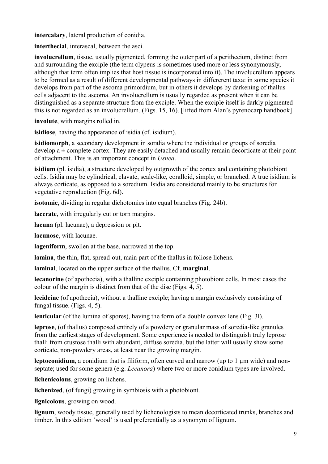intercalary, lateral production of conidia.

interthecial, interascal, between the asci.

involucrellum, tissue, usually pigmented, forming the outer part of a perithecium, distinct from and surrounding the exciple (the term clypeus is sometimes used more or less synonymously, although that term often implies that host tissue is incorporated into it). The involucrellum appears to be formed as a result of different developmental pathways in differerent taxa: in some species it develops from part of the ascoma primordium, but in others it develops by darkening of thallus cells adjacent to the ascoma. An involucrellum is usually regarded as present when it can be distinguished as a separate structure from the exciple. When the exciple itself is darkly pigmented this is not regarded as an involucrellum. (Figs. 15, 16). [lifted from Alan's pyrenocarp handbook]

involute, with margins rolled in.

isidiose, having the appearance of isidia (cf. isidium).

isidiomorph, a secondary development in soralia where the individual or groups of soredia develop  $a \pm$  complete cortex. They are easily detached and usually remain decorticate at their point of attachment. This is an important concept in Usnea.

isidium (pl. isidia), a structure developed by outgrowth of the cortex and containing photobiont cells. Isidia may be cylindrical, clavate, scale-like, coralloid, simple, or branched. A true isidium is always corticate, as opposed to a soredium. Isidia are considered mainly to be structures for vegetative reproduction (Fig. 6d).

isotomic, dividing in regular dichotomies into equal branches (Fig. 24b).

lacerate, with irregularly cut or torn margins.

lacuna (pl. lacunae), a depression or pit.

lacunose, with lacunae.

lageniform, swollen at the base, narrowed at the top.

lamina, the thin, flat, spread-out, main part of the thallus in foliose lichens.

laminal, located on the upper surface of the thallus. Cf. marginal.

lecanorine (of apothecia), with a thalline exciple containing photobiont cells. In most cases the colour of the margin is distinct from that of the disc (Figs. 4, 5).

lecideine (of apothecia), without a thalline exciple; having a margin exclusively consisting of fungal tissue. (Figs. 4, 5).

lenticular (of the lumina of spores), having the form of a double convex lens (Fig. 3l).

leprose, (of thallus) composed entirely of a powdery or granular mass of soredia-like granules from the earliest stages of development. Some experience is needed to distinguish truly leprose thalli from crustose thalli with abundant, diffuse soredia, but the latter will usually show some corticate, non-powdery areas, at least near the growing margin.

leptoconidium, a conidium that is filiform, often curved and narrow (up to  $1 \mu m$  wide) and nonseptate; used for some genera (e.g. *Lecanora*) where two or more conidium types are involved.

lichenicolous, growing on lichens.

lichenized, (of fungi) growing in symbiosis with a photobiont.

lignicolous, growing on wood.

lignum, woody tissue, generally used by lichenologists to mean decorticated trunks, branches and timber. In this edition 'wood' is used preferentially as a synonym of lignum.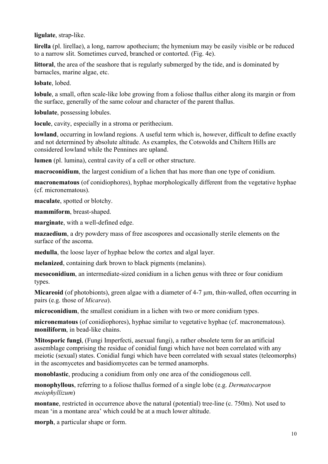ligulate, strap-like.

lirella (pl. lirellae), a long, narrow apothecium; the hymenium may be easily visible or be reduced to a narrow slit. Sometimes curved, branched or contorted. (Fig. 4e).

littoral, the area of the seashore that is regularly submerged by the tide, and is dominated by barnacles, marine algae, etc.

lobate, lobed.

lobule, a small, often scale-like lobe growing from a foliose thallus either along its margin or from the surface, generally of the same colour and character of the parent thallus.

lobulate, possessing lobules.

locule, cavity, especially in a stroma or perithecium.

lowland, occurring in lowland regions. A useful term which is, however, difficult to define exactly and not determined by absolute altitude. As examples, the Cotswolds and Chiltern Hills are considered lowland while the Pennines are upland.

lumen (pl. lumina), central cavity of a cell or other structure.

macroconidium, the largest conidium of a lichen that has more than one type of conidium.

macronematous (of conidiophores), hyphae morphologically different from the vegetative hyphae (cf. micronematous).

maculate, spotted or blotchy.

mammiform, breast-shaped.

marginate, with a well-defined edge.

mazaedium, a dry powdery mass of free ascospores and occasionally sterile elements on the surface of the ascoma.

medulla, the loose layer of hyphae below the cortex and algal layer.

melanized, containing dark brown to black pigments (melanins).

mesoconidium, an intermediate-sized conidium in a lichen genus with three or four conidium types.

Micareoid (of photobionts), green algae with a diameter of 4-7  $\mu$ m, thin-walled, often occurring in pairs (e.g. those of Micarea).

microconidium, the smallest conidium in a lichen with two or more conidium types.

micronematous (of conidiophores), hyphae similar to vegetative hyphae (cf. macronematous). moniliform, in bead-like chains.

Mitosporic fungi, (Fungi Imperfecti, asexual fungi), a rather obsolete term for an artificial assemblage comprising the residue of conidial fungi which have not been correlated with any meiotic (sexual) states. Conidial fungi which have been correlated with sexual states (teleomorphs) in the ascomycetes and basidiomycetes can be termed anamorphs.

monoblastic, producing a conidium from only one area of the conidiogenous cell.

monophyllous, referring to a foliose thallus formed of a single lobe (e.g. Dermatocarpon meiophyllizum)

montane, restricted in occurrence above the natural (potential) tree-line (c. 750m). Not used to mean 'in a montane area' which could be at a much lower altitude.

morph, a particular shape or form.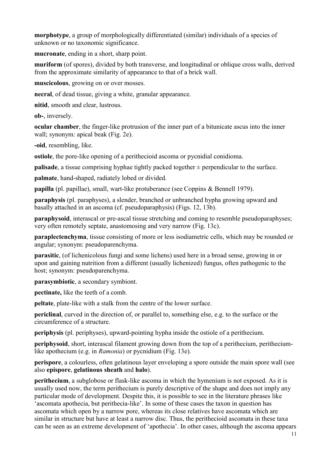morphotype, a group of morphologically differentiated (similar) individuals of a species of unknown or no taxonomic significance.

mucronate, ending in a short, sharp point.

muriform (of spores), divided by both transverse, and longitudinal or oblique cross walls, derived from the approximate similarity of appearance to that of a brick wall.

muscicolous, growing on or over mosses.

necral, of dead tissue, giving a white, granular appearance.

nitid, smooth and clear, lustrous.

ob-, inversely.

ocular chamber, the finger-like protrusion of the inner part of a bitunicate ascus into the inner wall; synonym: apical beak (Fig. 2e).

-oid, resembling, like.

ostiole, the pore-like opening of a perithecioid ascoma or pycnidial conidioma.

**palisade**, a tissue comprising hyphae tightly packed together  $\pm$  perpendicular to the surface.

palmate, hand-shaped, radiately lobed or divided.

papilla (pl. papillae), small, wart-like protuberance (see Coppins & Bennell 1979).

paraphysis (pl. paraphyses), a slender, branched or unbranched hypha growing upward and basally attached in an ascoma (cf. pseudoparaphysis) (Figs. 12, 13b).

paraphysoid, interascal or pre-ascal tissue stretching and coming to resemble pseudoparaphyses; very often remotely septate, anastomosing and very narrow (Fig. 13c).

paraplectenchyma, tissue consisting of more or less isodiametric cells, which may be rounded or angular; synonym: pseudoparenchyma.

parasitic, (of lichenicolous fungi and some lichens) used here in a broad sense, growing in or upon and gaining nutrition from a different (usually lichenized) fungus, often pathogenic to the host; synonym: pseudoparenchyma.

parasymbiotic, a secondary symbiont.

pectinate, like the teeth of a comb.

peltate, plate-like with a stalk from the centre of the lower surface.

periclinal, curved in the direction of, or parallel to, something else, e.g. to the surface or the circumference of a structure.

periphysis (pl. periphyses), upward-pointing hypha inside the ostiole of a perithecium.

periphysoid, short, interascal filament growing down from the top of a perithecium, peritheciumlike apothecium (e.g. in Ramonia) or pycnidium (Fig. 13e).

perispore, a colourless, often gelatinous layer enveloping a spore outside the main spore wall (see also epispore, gelatinous sheath and halo).

perithecium, a subglobose or flask-like ascoma in which the hymenium is not exposed. As it is usually used now, the term perithecium is purely descriptive of the shape and does not imply any particular mode of development. Despite this, it is possible to see in the literature phrases like 'ascomata apothecia, but perithecia-like'. In some of these cases the taxon in question has ascomata which open by a narrow pore, whereas its close relatives have ascomata which are similar in structure but have at least a narrow disc. Thus, the perithecioid ascomata in these taxa can be seen as an extreme development of 'apothecia'. In other cases, although the ascoma appears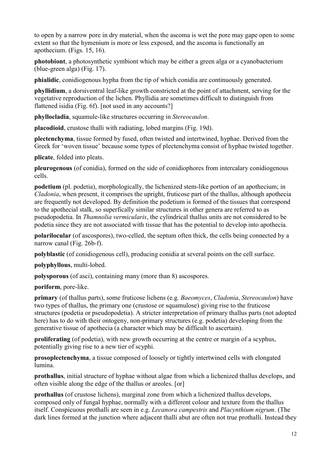to open by a narrow pore in dry material, when the ascoma is wet the pore may gape open to some extent so that the hymenium is more or less exposed, and the ascoma is functionally an apothecium. (Figs. 15, 16).

photobiont, a photosynthetic symbiont which may be either a green alga or a cyanobacterium (blue-green alga) (Fig. 17).

phialidic, conidiogenous hypha from the tip of which conidia are continuously generated.

phyllidium, a dorsiventral leaf-like growth constricted at the point of attachment, serving for the vegetative reproduction of the lichen. Phyllidia are sometimes difficult to distinguish from flattened isidia (Fig. 6f). [not used in any accounts?]

phyllocladia, squamule-like structures occurring in Stereocaulon.

placodioid, crustose thalli with radiating, lobed margins (Fig. 19d).

plectenchyma, tissue formed by fused, often twisted and intertwined, hyphae. Derived from the Greek for 'woven tissue' because some types of plectenchyma consist of hyphae twisted together.

plicate, folded into pleats.

pleurogenous (of conidia), formed on the side of conidiophores from intercalary conidiogenous cells.

podetium (pl. podetia), morphologically, the lichenized stem-like portion of an apothecium; in Cladonia, when present, it comprises the upright, fruticose part of the thallus, although apothecia are frequently not developed. By definition the podetium is formed of the tissues that correspond to the apothecial stalk, so superfically similar structures in other genera are referred to as pseudopodetia. In Thamnolia vermicularis, the cylindrical thallus units are not considered to be podetia since they are not associated with tissue that has the potential to develop into apothecia.

polarilocular (of ascospores), two-celled, the septum often thick, the cells being connected by a narrow canal (Fig. 26b-f).

polyblastic (of conidiogenous cell), producing conidia at several points on the cell surface.

polyphyllous, multi-lobed.

polysporous (of asci), containing many (more than 8) ascospores.

poriform, pore-like.

primary (of thallus parts), some fruticose lichens (e.g. Baeomyces, Cladonia, Stereocaulon) have two types of thallus, the primary one (crustose or squamulose) giving rise to the fruticose structures (podetia or pseudopodetia). A stricter interpretation of primary thallus parts (not adopted here) has to do with their ontogeny, non-primary structures (e.g. podetia) developing from the generative tissue of apothecia (a character which may be difficult to ascertain).

proliferating (of podetia), with new growth occurring at the centre or margin of a scyphus, potentially giving rise to a new tier of scyphi.

prosoplectenchyma, a tissue composed of loosely or tightly intertwined cells with elongated lumina.

prothallus, initial structure of hyphae without algae from which a lichenized thallus develops, and often visible along the edge of the thallus or areoles. [or]

prothallus (of crustose lichens), marginal zone from which a lichenized thallus develops, composed only of fungal hyphae, normally with a different colour and texture from the thallus itself. Conspicuous prothalli are seen in e.g. Lecanora campestris and Placynthium nigrum. (The dark lines formed at the junction where adjacent thalli abut are often not true prothalli. Instead they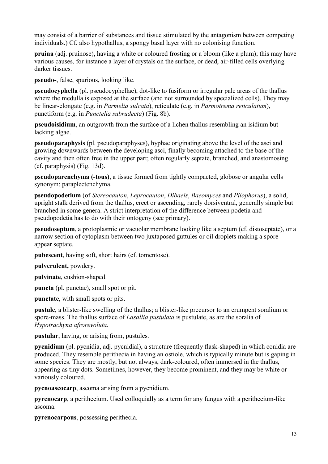may consist of a barrier of substances and tissue stimulated by the antagonism between competing individuals.) Cf. also hypothallus, a spongy basal layer with no colonising function.

pruina (adj. pruinose), having a white or coloured frosting or a bloom (like a plum); this may have various causes, for instance a layer of crystals on the surface, or dead, air-filled cells overlying darker tissues.

pseudo-, false, spurious, looking like.

pseudocyphella (pl. pseudocyphellae), dot-like to fusiform or irregular pale areas of the thallus where the medulla is exposed at the surface (and not surrounded by specialized cells). They may be linear-elongate (e.g. in Parmelia sulcata), reticulate (e.g. in Parmotrema reticulatum), punctiform (e.g. in Punctelia subrudecta) (Fig. 8b).

pseudoisidium, an outgrowth from the surface of a lichen thallus resembling an isidium but lacking algae.

pseudoparaphysis (pl. pseudoparaphyses), hyphae originating above the level of the asci and growing downwards between the developing asci, finally becoming attached to the base of the cavity and then often free in the upper part; often regularly septate, branched, and anastomosing (cf. paraphysis) (Fig. 13d).

pseudoparenchyma (-tous), a tissue formed from tightly compacted, globose or angular cells synonym: paraplectenchyma.

pseudopodetium (of Stereocaulon, Leprocaulon, Dibaeis, Baeomyces and Pilophorus), a solid, upright stalk derived from the thallus, erect or ascending, rarely dorsiventral, generally simple but branched in some genera. A strict interpretation of the difference between podetia and pseudopodetia has to do with their ontogeny (see primary).

pseudoseptum, a protoplasmic or vacuolar membrane looking like a septum (cf. distoseptate), or a narrow section of cytoplasm between two juxtaposed guttules or oil droplets making a spore appear septate.

pubescent, having soft, short hairs (cf. tomentose).

pulverulent, powdery.

pulvinate, cushion-shaped.

puncta (pl. punctae), small spot or pit.

punctate, with small spots or pits.

pustule, a blister-like swelling of the thallus; a blister-like precursor to an erumpent soralium or spore-mass. The thallus surface of *Lasallia pustulata* is pustulate, as are the soralia of Hypotrachyna afrorevoluta.

pustular, having, or arising from, pustules.

pycnidium (pl. pycnidia, adj. pycnidial), a structure (frequently flask-shaped) in which conidia are produced. They resemble perithecia in having an ostiole, which is typically minute but is gaping in some species. They are mostly, but not always, dark-coloured, often immersed in the thallus, appearing as tiny dots. Sometimes, however, they become prominent, and they may be white or variously coloured.

pycnoascocarp, ascoma arising from a pycnidium.

pyrenocarp, a perithecium. Used colloquially as a term for any fungus with a perithecium-like ascoma.

pyrenocarpous, possessing perithecia.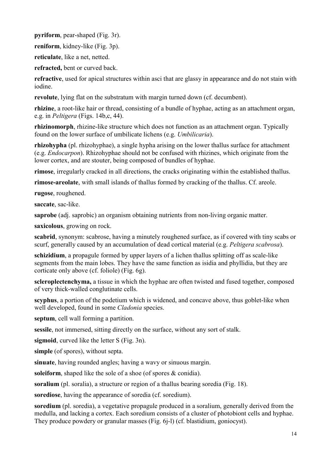pyriform, pear-shaped (Fig. 3r).

reniform, kidney-like (Fig. 3p).

reticulate, like a net, netted.

refracted, bent or curved back.

refractive, used for apical structures within asci that are glassy in appearance and do not stain with iodine.

revolute, lying flat on the substratum with margin turned down (cf. decumbent).

rhizine, a root-like hair or thread, consisting of a bundle of hyphae, acting as an attachment organ, e.g. in Peltigera (Figs. 14b,c, 44).

rhizinomorph, rhizine-like structure which does not function as an attachment organ. Typically found on the lower surface of umbilicate lichens (e.g. Umbilicaria).

rhizohypha (pl. rhizohyphae), a single hypha arising on the lower thallus surface for attachment (e.g. Endocarpon). Rhizohyphae should not be confused with rhizines, which originate from the lower cortex, and are stouter, being composed of bundles of hyphae.

rimose, irregularly cracked in all directions, the cracks originating within the established thallus.

rimose-areolate, with small islands of thallus formed by cracking of the thallus. Cf. areole.

rugose, roughened.

saccate, sac-like.

saprobe (adj. saprobic) an organism obtaining nutrients from non-living organic matter.

saxicolous, growing on rock.

scabrid, synonym: scabrose, having a minutely roughened surface, as if covered with tiny scabs or scurf, generally caused by an accumulation of dead cortical material (e.g. Peltigera scabrosa).

schizidium, a propagule formed by upper layers of a lichen thallus splitting off as scale-like segments from the main lobes. They have the same function as isidia and phyllidia, but they are corticate only above (cf. foliole) (Fig. 6g).

scleroplectenchyma, a tissue in which the hyphae are often twisted and fused together, composed of very thick-walled conglutinate cells.

scyphus, a portion of the podetium which is widened, and concave above, thus goblet-like when well developed, found in some Cladonia species.

septum, cell wall forming a partition.

sessile, not immersed, sitting directly on the surface, without any sort of stalk.

sigmoid, curved like the letter S (Fig. 3n).

simple (of spores), without septa.

sinuate, having rounded angles; having a wavy or sinuous margin.

soleiform, shaped like the sole of a shoe (of spores & conidia).

soralium (pl. soralia), a structure or region of a thallus bearing soredia (Fig. 18).

sorediose, having the appearance of soredia (cf. soredium).

soredium (pl. soredia), a vegetative propagule produced in a soralium, generally derived from the medulla, and lacking a cortex. Each soredium consists of a cluster of photobiont cells and hyphae. They produce powdery or granular masses (Fig. 6j-l) (cf. blastidium, goniocyst).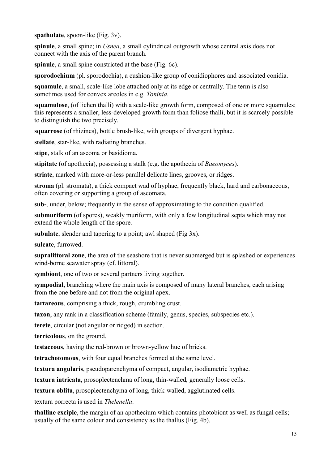spathulate, spoon-like (Fig. 3v).

spinule, a small spine; in *Usnea*, a small cylindrical outgrowth whose central axis does not connect with the axis of the parent branch.

spinule, a small spine constricted at the base (Fig. 6c).

sporodochium (pl. sporodochia), a cushion-like group of conidiophores and associated conidia.

squamule, a small, scale-like lobe attached only at its edge or centrally. The term is also sometimes used for convex areoles in e.g. Toninia.

squamulose, (of lichen thalli) with a scale-like growth form, composed of one or more squamules; this represents a smaller, less-developed growth form than foliose thalli, but it is scarcely possible to distinguish the two precisely.

squarrose (of rhizines), bottle brush-like, with groups of divergent hyphae.

stellate, star-like, with radiating branches.

stipe, stalk of an ascoma or basidioma.

stipitate (of apothecia), possessing a stalk (e.g. the apothecia of Baeomyces).

striate, marked with more-or-less parallel delicate lines, grooves, or ridges.

stroma (pl. stromata), a thick compact wad of hyphae, frequently black, hard and carbonaceous, often covering or supporting a group of ascomata.

sub-, under, below; frequently in the sense of approximating to the condition qualified.

submuriform (of spores), weakly muriform, with only a few longitudinal septa which may not extend the whole length of the spore.

subulate, slender and tapering to a point; awl shaped (Fig 3x).

sulcate, furrowed.

supralittoral zone, the area of the seashore that is never submerged but is splashed or experiences wind-borne seawater spray (cf. littoral).

symbiont, one of two or several partners living together.

sympodial, branching where the main axis is composed of many lateral branches, each arising from the one before and not from the original apex.

tartareous, comprising a thick, rough, crumbling crust.

taxon, any rank in a classification scheme (family, genus, species, subspecies etc.).

terete, circular (not angular or ridged) in section.

terricolous, on the ground.

testaceous, having the red-brown or brown-yellow hue of bricks.

tetrachotomous, with four equal branches formed at the same level.

textura angularis, pseudoparenchyma of compact, angular, isodiametric hyphae.

textura intricata, prosoplectenchma of long, thin-walled, generally loose cells.

textura oblita, prosoplectenchyma of long, thick-walled, agglutinated cells.

textura porrecta is used in Thelenella.

thalline exciple, the margin of an apothecium which contains photobiont as well as fungal cells; usually of the same colour and consistency as the thallus (Fig. 4b).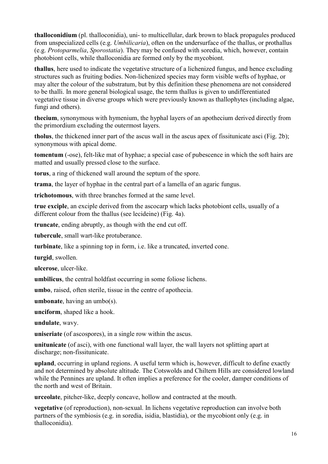thalloconidium (pl. thalloconidia), uni- to multicellular, dark brown to black propagules produced from unspecialized cells (e.g. Umbilicaria), often on the undersurface of the thallus, or prothallus (e.g. Protoparmelia, Sporostatia). They may be confused with soredia, which, however, contain photobiont cells, while thalloconidia are formed only by the mycobiont.

thallus, here used to indicate the vegetative structure of a lichenized fungus, and hence excluding structures such as fruiting bodies. Non-lichenized species may form visible wefts of hyphae, or may alter the colour of the substratum, but by this definition these phenomena are not considered to be thalli. In more general biological usage, the term thallus is given to undifferentiated vegetative tissue in diverse groups which were previously known as thallophytes (including algae, fungi and others).

thecium, synonymous with hymenium, the hyphal layers of an apothecium derived directly from the primordium excluding the outermost layers.

tholus, the thickened inner part of the ascus wall in the ascus apex of fissitunicate asci (Fig. 2b); synonymous with apical dome.

tomentum (-ose), felt-like mat of hyphae; a special case of pubescence in which the soft hairs are matted and usually pressed close to the surface.

torus, a ring of thickened wall around the septum of the spore.

trama, the layer of hyphae in the central part of a lamella of an agaric fungus.

trichotomous, with three branches formed at the same level.

true exciple, an exciple derived from the ascocarp which lacks photobiont cells, usually of a different colour from the thallus (see lecideine) (Fig. 4a).

truncate, ending abruptly, as though with the end cut off.

tubercule, small wart-like protuberance.

turbinate, like a spinning top in form, i.e. like a truncated, inverted cone.

turgid, swollen.

ulcerose, ulcer-like.

umbilicus, the central holdfast occurring in some foliose lichens.

umbo, raised, often sterile, tissue in the centre of apothecia.

umbonate, having an umbo(s).

unciform, shaped like a hook.

undulate, wavy.

uniseriate (of ascospores), in a single row within the ascus.

unitunicate (of asci), with one functional wall layer, the wall layers not splitting apart at discharge; non-fissitunicate.

upland, occurring in upland regions. A useful term which is, however, difficult to define exactly and not determined by absolute altitude. The Cotswolds and Chiltern Hills are considered lowland while the Pennines are upland. It often implies a preference for the cooler, damper conditions of the north and west of Britain.

urceolate, pitcher-like, deeply concave, hollow and contracted at the mouth.

vegetative (of reproduction), non-sexual. In lichens vegetative reproduction can involve both partners of the symbiosis (e.g. in soredia, isidia, blastidia), or the mycobiont only (e.g. in thalloconidia).